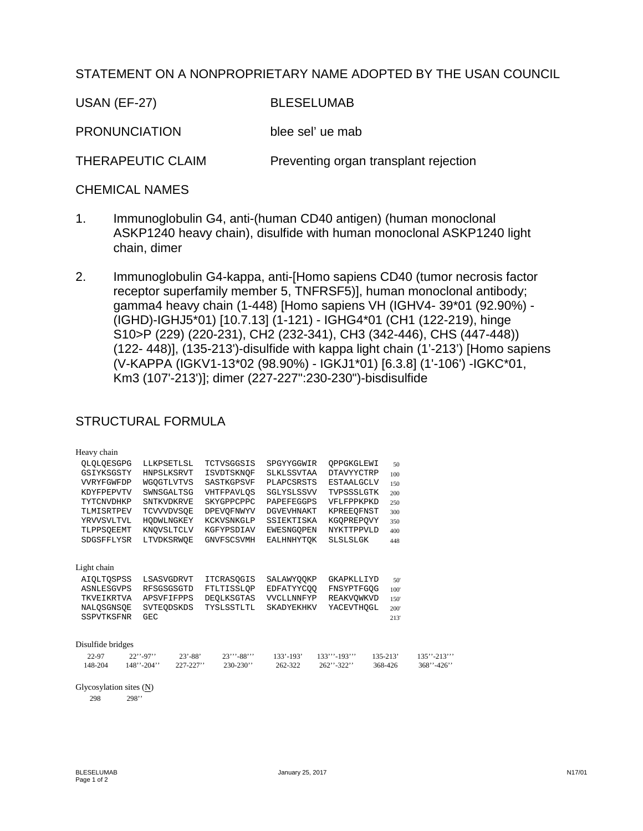## STATEMENT ON A NONPROPRIETARY NAME ADOPTED BY THE USAN COUNCIL

**USAN (EF-27) BLESELUMAB** 

**PRONUNCIATION** blee sel' ue mab

THERAPEUTIC CLAIM Preventing organ transplant rejection

## **CHEMICAL NAMES**

- $1<sub>1</sub>$ Immunoglobulin G4, anti-(human CD40 antigen) (human monoclonal ASKP1240 heavy chain), disulfide with human monoclonal ASKP1240 light chain, dimer
- $2.$ Immunoglobulin G4-kappa, anti-[Homo sapiens CD40 (tumor necrosis factor receptor superfamily member 5, TNFRSF5)], human monoclonal antibody; gamma4 heavy chain (1-448) [Homo sapiens VH (IGHV4-39\*01 (92.90%) -(IGHD)-IGHJ5\*01) [10.7.13] (1-121) - IGHG4\*01 (CH1 (122-219), hinge S10>P (229) (220-231), CH2 (232-341), CH3 (342-446), CHS (447-448)) (122-448)], (135-213')-disulfide with kappa light chain (1'-213') [Homo sapiens (V-KAPPA (IGKV1-13\*02 (98.90%) - IGKJ1\*01) [6.3.8] (1'-106') -IGKC\*01, Km3 (107'-213')]; dimer (227-227":230-230")-bisdisulfide

## **STRUCTURAL FORMULA**

| Heavy chain               |                                |                   |                   |                   |              |                 |
|---------------------------|--------------------------------|-------------------|-------------------|-------------------|--------------|-----------------|
| OLOLOESGPG                | LLKPSETLSL                     | TCTVSGGSIS        | SPGYYGGWIR        | OPPGKGLEWI        | 50           |                 |
| GSIYKSGSTY                | HNPSLKSRVT                     | ISVDTSKNOF        | SLKLSSVTAA        | <b>DTAVYYCTRP</b> | 100          |                 |
| VVRYFGWFDP                | WGQGTLVTVS                     | SASTKGPSVF        | PLAPCSRSTS        | <b>ESTAALGCLV</b> | 150          |                 |
| KDYFPEPVTV                | SWNSGALTSG                     | VHTFPAVLOS        | SGLYSLSSVV        | TVPSSSLGTK        | 200          |                 |
| TYTCNVDHKP                | <b>SNTKVDKRVE</b>              | <b>SKYGPPCPPC</b> | PAPEFEGGPS        | VFLFPPKPKD        | 250          |                 |
| TLMISRTPEV                | <b>TCVVVDVSOE</b>              | DPEVOFNWYV        | <b>DGVEVHNAKT</b> | KPREEQFNST        | 300          |                 |
| YRVVSVLTVL                | HODWLNGKEY                     | KCKVSNKGLP        | SSIEKTISKA        | KGOPREPOVY        | 350          |                 |
| TLPPSOEEMT                | KNOVSLTCLV                     | KGFYPSDIAV        | EWESNGQPEN        | <b>NYKTTPPVLD</b> | 400          |                 |
| SDGSFFLYSR                | LTVDKSRWOE                     | <b>GNVFSCSVMH</b> | EALHNHYTOK        | <b>SLSLSLGK</b>   | 448          |                 |
|                           |                                |                   |                   |                   |              |                 |
| Light chain               |                                |                   |                   |                   |              |                 |
| <b>AIOLTOSPSS</b>         | LSASVGDRVT                     | <b>ITCRASOGIS</b> | SALAWYOOKP        | GKAPKLLIYD        | 50'          |                 |
| ASNLESGVPS                | RFSGSGSGTD                     | FTLTISSLQP        | EDFATYYCOO        | FNSYPTFGOG        | 100'         |                 |
| TKVEIKRTVA                | APSVFIFPPS                     | DEOLKSGTAS        | VVCLLNNFYP        | REAKVOWKVD        | 150'         |                 |
| NALQSGNSQE                | SVTEODSKDS                     | TYSLSSTLTL        | <b>SKADYEKHKV</b> | YACEVTHOGL        | 200'         |                 |
| SSPVTKSFNR                | GEC.                           |                   |                   |                   | 213'         |                 |
|                           |                                |                   |                   |                   |              |                 |
| Disulfide bridges         |                                |                   |                   |                   |              |                 |
| 22-97                     | $22$ "-97"<br>$23' - 88'$      | $23'''' - 88'''$  | $133' - 193'$     | $133''''-193'''$  | $135 - 213'$ | $135" - 213"$   |
| 148-204                   | $148'' - 204''$<br>$227 - 227$ | $230 - 230$       | 262-322           | $262$ "-322"      | 368-426      | $368'' - 426''$ |
|                           |                                |                   |                   |                   |              |                 |
| Glycosylation sites $(N)$ |                                |                   |                   |                   |              |                 |

298  $298"$